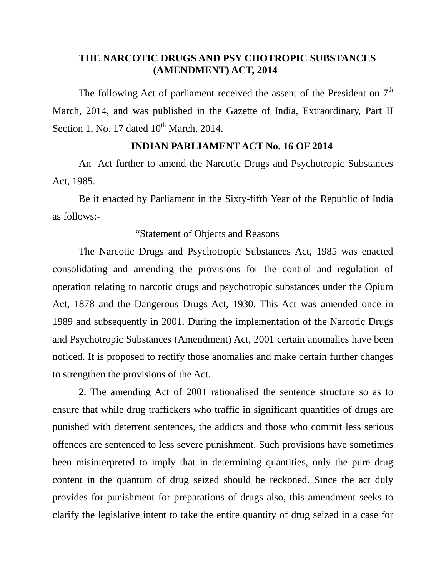## **THE NARCOTIC DRUGS AND PSY CHOTROPIC SUBSTANCES (AMENDMENT) ACT, 2014**

The following Act of parliament received the assent of the President on  $7<sup>th</sup>$ March, 2014, and was published in the Gazette of India, Extraordinary, Part II Section 1, No. 17 dated  $10^{th}$  March, 2014.

## **INDIAN PARLIAMENT ACT No. 16 OF 2014**

 An Act further to amend the Narcotic Drugs and Psychotropic Substances Act, 1985.

 Be it enacted by Parliament in the Sixty-fifth Year of the Republic of India as follows:-

## "Statement of Objects and Reasons

 The Narcotic Drugs and Psychotropic Substances Act, 1985 was enacted consolidating and amending the provisions for the control and regulation of operation relating to narcotic drugs and psychotropic substances under the Opium Act, 1878 and the Dangerous Drugs Act, 1930. This Act was amended once in 1989 and subsequently in 2001. During the implementation of the Narcotic Drugs and Psychotropic Substances (Amendment) Act, 2001 certain anomalies have been noticed. It is proposed to rectify those anomalies and make certain further changes to strengthen the provisions of the Act.

 2. The amending Act of 2001 rationalised the sentence structure so as to ensure that while drug traffickers who traffic in significant quantities of drugs are punished with deterrent sentences, the addicts and those who commit less serious offences are sentenced to less severe punishment. Such provisions have sometimes been misinterpreted to imply that in determining quantities, only the pure drug content in the quantum of drug seized should be reckoned. Since the act duly provides for punishment for preparations of drugs also, this amendment seeks to clarify the legislative intent to take the entire quantity of drug seized in a case for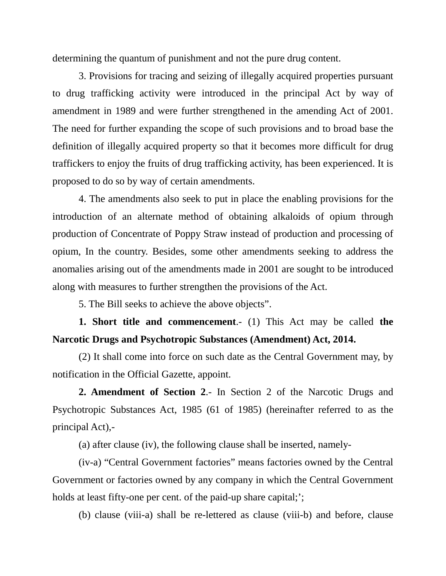determining the quantum of punishment and not the pure drug content.

 3. Provisions for tracing and seizing of illegally acquired properties pursuant to drug trafficking activity were introduced in the principal Act by way of amendment in 1989 and were further strengthened in the amending Act of 2001. The need for further expanding the scope of such provisions and to broad base the definition of illegally acquired property so that it becomes more difficult for drug traffickers to enjoy the fruits of drug trafficking activity, has been experienced. It is proposed to do so by way of certain amendments.

 4. The amendments also seek to put in place the enabling provisions for the introduction of an alternate method of obtaining alkaloids of opium through production of Concentrate of Poppy Straw instead of production and processing of opium, In the country. Besides, some other amendments seeking to address the anomalies arising out of the amendments made in 2001 are sought to be introduced along with measures to further strengthen the provisions of the Act.

5. The Bill seeks to achieve the above objects".

## **1. Short title and commencement**.- (1) This Act may be called **the Narcotic Drugs and Psychotropic Substances (Amendment) Act, 2014.**

 (2) It shall come into force on such date as the Central Government may, by notification in the Official Gazette, appoint.

**2. Amendment of Section 2**.- In Section 2 of the Narcotic Drugs and Psychotropic Substances Act, 1985 (61 of 1985) (hereinafter referred to as the principal Act),-

(a) after clause (iv), the following clause shall be inserted, namely-

 (iv-a) "Central Government factories" means factories owned by the Central Government or factories owned by any company in which the Central Government holds at least fifty-one per cent. of the paid-up share capital;';

(b) clause (viii-a) shall be re-lettered as clause (viii-b) and before, clause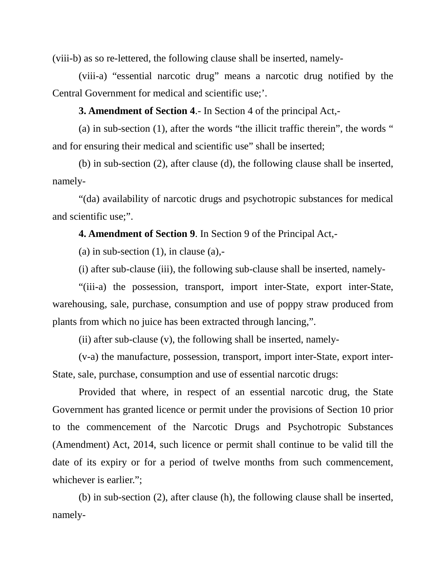(viii-b) as so re-lettered, the following clause shall be inserted, namely-

 (viii-a) "essential narcotic drug" means a narcotic drug notified by the Central Government for medical and scientific use;'.

**3. Amendment of Section 4**.- In Section 4 of the principal Act,-

 (a) in sub-section (1), after the words "the illicit traffic therein", the words " and for ensuring their medical and scientific use" shall be inserted;

 (b) in sub-section (2), after clause (d), the following clause shall be inserted, namely-

 "(da) availability of narcotic drugs and psychotropic substances for medical and scientific use;".

**4. Amendment of Section 9**. In Section 9 of the Principal Act,-

(a) in sub-section  $(1)$ , in clause  $(a)$ ,-

(i) after sub-clause (iii), the following sub-clause shall be inserted, namely-

 "(iii-a) the possession, transport, import inter-State, export inter-State, warehousing, sale, purchase, consumption and use of poppy straw produced from plants from which no juice has been extracted through lancing,".

(ii) after sub-clause (v), the following shall be inserted, namely-

 (v-a) the manufacture, possession, transport, import inter-State, export inter-State, sale, purchase, consumption and use of essential narcotic drugs:

 Provided that where, in respect of an essential narcotic drug, the State Government has granted licence or permit under the provisions of Section 10 prior to the commencement of the Narcotic Drugs and Psychotropic Substances (Amendment) Act, 2014, such licence or permit shall continue to be valid till the date of its expiry or for a period of twelve months from such commencement, whichever is earlier.";

 (b) in sub-section (2), after clause (h), the following clause shall be inserted, namely-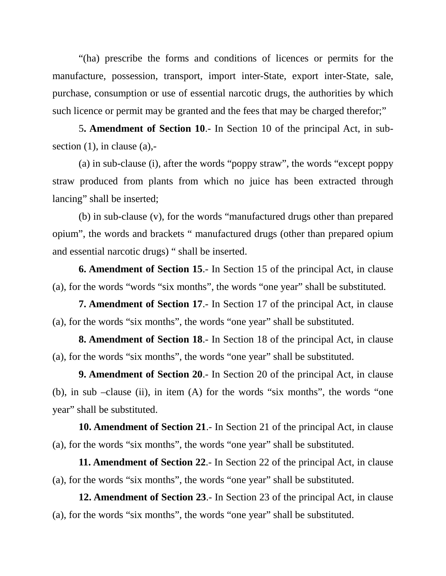"(ha) prescribe the forms and conditions of licences or permits for the manufacture, possession, transport, import inter-State, export inter-State, sale, purchase, consumption or use of essential narcotic drugs, the authorities by which such licence or permit may be granted and the fees that may be charged therefor;"

 5**. Amendment of Section 10**.- In Section 10 of the principal Act, in subsection (1), in clause (a),-

 (a) in sub-clause (i), after the words "poppy straw", the words "except poppy straw produced from plants from which no juice has been extracted through lancing" shall be inserted;

 (b) in sub-clause (v), for the words "manufactured drugs other than prepared opium", the words and brackets " manufactured drugs (other than prepared opium and essential narcotic drugs) " shall be inserted.

**6. Amendment of Section 15**.- In Section 15 of the principal Act, in clause (a), for the words "words "six months", the words "one year" shall be substituted.

**7. Amendment of Section 17**.- In Section 17 of the principal Act, in clause (a), for the words "six months", the words "one year" shall be substituted.

**8. Amendment of Section 18**.- In Section 18 of the principal Act, in clause (a), for the words "six months", the words "one year" shall be substituted.

**9. Amendment of Section 20**.- In Section 20 of the principal Act, in clause (b), in sub –clause (ii), in item (A) for the words "six months", the words "one year" shall be substituted.

**10. Amendment of Section 21**.- In Section 21 of the principal Act, in clause (a), for the words "six months", the words "one year" shall be substituted.

**11. Amendment of Section 22**.- In Section 22 of the principal Act, in clause (a), for the words "six months", the words "one year" shall be substituted.

**12. Amendment of Section 23**.- In Section 23 of the principal Act, in clause (a), for the words "six months", the words "one year" shall be substituted.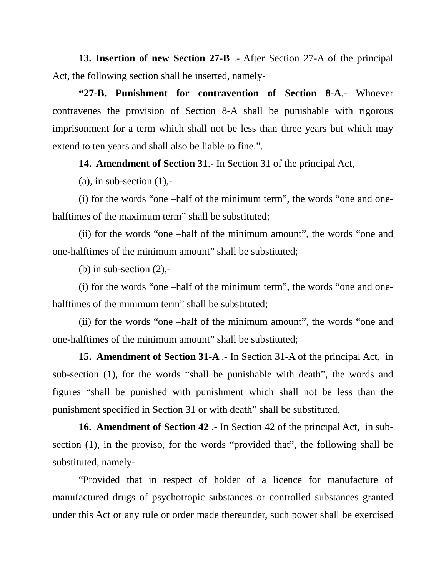**13. Insertion of new Section 27-B** .- After Section 27-A of the principal Act, the following section shall be inserted, namely-

**"27-B. Punishment for contravention of Section 8-A**.- Whoever contravenes the provision of Section 8-A shall be punishable with rigorous imprisonment for a term which shall not be less than three years but which may extend to ten years and shall also be liable to fine.".

**14. Amendment of Section 31**.- In Section 31 of the principal Act,

 $(a)$ , in sub-section  $(1)$ ,-

(i) for the words "one –half of the minimum term", the words "one and onehalftimes of the maximum term" shall be substituted;

(ii) for the words "one –half of the minimum amount", the words "one and one-halftimes of the minimum amount" shall be substituted;

(b) in sub-section  $(2)$ ,-

(i) for the words "one –half of the minimum term", the words "one and onehalftimes of the minimum term" shall be substituted;

(ii) for the words "one –half of the minimum amount", the words "one and one-halftimes of the minimum amount" shall be substituted;

**15. Amendment of Section 31-A** .- In Section 31-A of the principal Act, in sub-section (1), for the words "shall be punishable with death", the words and figures "shall be punished with punishment which shall not be less than the punishment specified in Section 31 or with death" shall be substituted.

**16. Amendment of Section 42** .- In Section 42 of the principal Act, in subsection (1), in the proviso, for the words "provided that", the following shall be substituted, namely-

"Provided that in respect of holder of a licence for manufacture of manufactured drugs of psychotropic substances or controlled substances granted under this Act or any rule or order made thereunder, such power shall be exercised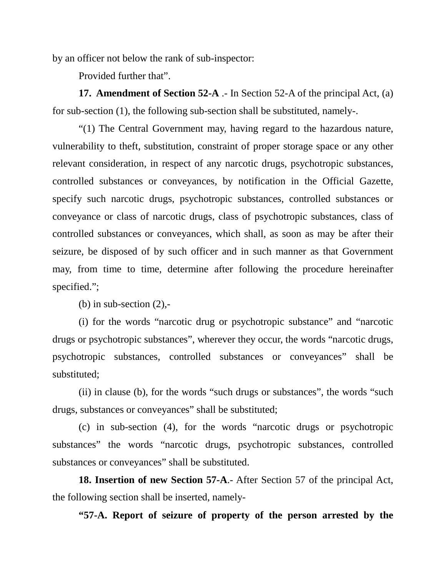by an officer not below the rank of sub-inspector:

Provided further that".

**17. Amendment of Section 52-A** .- In Section 52-A of the principal Act, (a) for sub-section (1), the following sub-section shall be substituted, namely-.

"(1) The Central Government may, having regard to the hazardous nature, vulnerability to theft, substitution, constraint of proper storage space or any other relevant consideration, in respect of any narcotic drugs, psychotropic substances, controlled substances or conveyances, by notification in the Official Gazette, specify such narcotic drugs, psychotropic substances, controlled substances or conveyance or class of narcotic drugs, class of psychotropic substances, class of controlled substances or conveyances, which shall, as soon as may be after their seizure, be disposed of by such officer and in such manner as that Government may, from time to time, determine after following the procedure hereinafter specified.";

(b) in sub-section  $(2)$ ,-

(i) for the words "narcotic drug or psychotropic substance" and "narcotic drugs or psychotropic substances", wherever they occur, the words "narcotic drugs, psychotropic substances, controlled substances or conveyances" shall be substituted;

(ii) in clause (b), for the words "such drugs or substances", the words "such drugs, substances or conveyances" shall be substituted;

(c) in sub-section (4), for the words "narcotic drugs or psychotropic substances" the words "narcotic drugs, psychotropic substances, controlled substances or conveyances" shall be substituted.

**18. Insertion of new Section 57-A**.- After Section 57 of the principal Act, the following section shall be inserted, namely-

**"57-A. Report of seizure of property of the person arrested by the**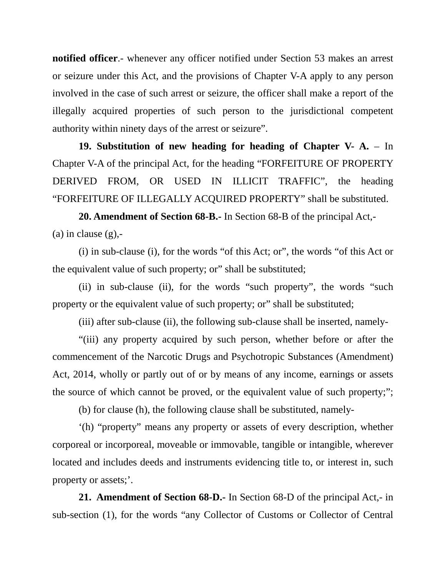**notified officer.**- whenever any officer notified under Section 53 makes an arrest or seizure under this Act, and the provisions of Chapter V-A apply to any person involved in the case of such arrest or seizure, the officer shall make a report of the illegally acquired properties of such person to the jurisdictional competent authority within ninety days of the arrest or seizure".

**19. Substitution of new heading for heading of Chapter V- A.** – In Chapter V-A of the principal Act, for the heading "FORFEITURE OF PROPERTY DERIVED FROM, OR USED IN ILLICIT TRAFFIC", the heading "FORFEITURE OF ILLEGALLY ACQUIRED PROPERTY" shall be substituted.

**20. Amendment of Section 68-B.-** In Section 68-B of the principal Act,- (a) in clause  $(g)$ ,-

 (i) in sub-clause (i), for the words "of this Act; or", the words "of this Act or the equivalent value of such property; or" shall be substituted;

(ii) in sub-clause (ii), for the words "such property", the words "such property or the equivalent value of such property; or" shall be substituted;

(iii) after sub-clause (ii), the following sub-clause shall be inserted, namely-

"(iii) any property acquired by such person, whether before or after the commencement of the Narcotic Drugs and Psychotropic Substances (Amendment) Act, 2014, wholly or partly out of or by means of any income, earnings or assets the source of which cannot be proved, or the equivalent value of such property;";

(b) for clause (h), the following clause shall be substituted, namely-

'(h) "property" means any property or assets of every description, whether corporeal or incorporeal, moveable or immovable, tangible or intangible, wherever located and includes deeds and instruments evidencing title to, or interest in, such property or assets;'.

**21. Amendment of Section 68-D.-** In Section 68-D of the principal Act,- in sub-section (1), for the words "any Collector of Customs or Collector of Central